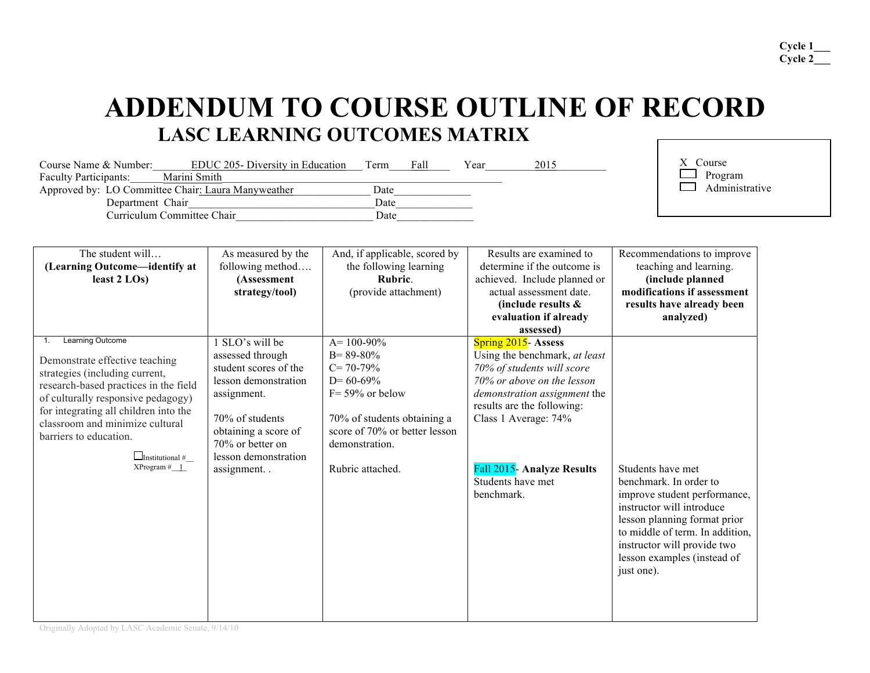# **ADDENDUM TO COURSE OUTLINE OF RECORD LASC LEARNING OUTCOMES MATRIX**

| EDUC 205- Diversity in Education<br>Course Name & Number: | Term | Fall | Year | 2015 | Course         |
|-----------------------------------------------------------|------|------|------|------|----------------|
| Marini Smith<br><b>Faculty Participants:</b>              |      |      |      |      | Program        |
| Approved by: LO Committee Chair: Laura Manyweather        | Date |      |      |      | Administrative |
| Department Chair                                          | Date |      |      |      |                |
| Curriculum Committee Chair                                | Date |      |      |      |                |

| The student will<br>(Learning Outcome-identify at<br>least $2$ LOs)                                                                                                                                                                                                                                                 | As measured by the<br>following method<br>(Assessment<br>strategy/tool)                                                                                                                                | And, if applicable, scored by<br>the following learning<br>Rubric.<br>(provide attachment)                                                                                                     | Results are examined to<br>determine if the outcome is<br>achieved. Include planned or<br>actual assessment date.<br>(include results &<br>evaluation if already<br>assessed)                                                                                                  | Recommendations to improve<br>teaching and learning.<br>(include planned<br>modifications if assessment<br>results have already been<br>analyzed)                                                                                                       |
|---------------------------------------------------------------------------------------------------------------------------------------------------------------------------------------------------------------------------------------------------------------------------------------------------------------------|--------------------------------------------------------------------------------------------------------------------------------------------------------------------------------------------------------|------------------------------------------------------------------------------------------------------------------------------------------------------------------------------------------------|--------------------------------------------------------------------------------------------------------------------------------------------------------------------------------------------------------------------------------------------------------------------------------|---------------------------------------------------------------------------------------------------------------------------------------------------------------------------------------------------------------------------------------------------------|
| Learning Outcome<br>Demonstrate effective teaching<br>strategies (including current,<br>research-based practices in the field<br>of culturally responsive pedagogy)<br>for integrating all children into the<br>classroom and minimize cultural<br>barriers to education.<br>$\Box$ Institutional #<br>XProgram # 1 | SLO's will be<br>assessed through<br>student scores of the<br>lesson demonstration<br>assignment.<br>70% of students<br>obtaining a score of<br>70% or better on<br>lesson demonstration<br>assignment | $A = 100 - 90\%$<br>$B = 89 - 80\%$<br>$C = 70-79%$<br>$D=60-69%$<br>$F = 59\%$ or below<br>70% of students obtaining a<br>score of 70% or better lesson<br>demonstration.<br>Rubric attached. | Spring 2015- Assess<br>Using the benchmark, at least<br>70% of students will score<br>70% or above on the lesson<br>demonstration assignment the<br>results are the following:<br>Class 1 Average: 74%<br><b>Fall 2015- Analyze Results</b><br>Students have met<br>benchmark. | Students have met<br>benchmark. In order to<br>improve student performance,<br>instructor will introduce<br>lesson planning format prior<br>to middle of term. In addition,<br>instructor will provide two<br>lesson examples (instead of<br>just one). |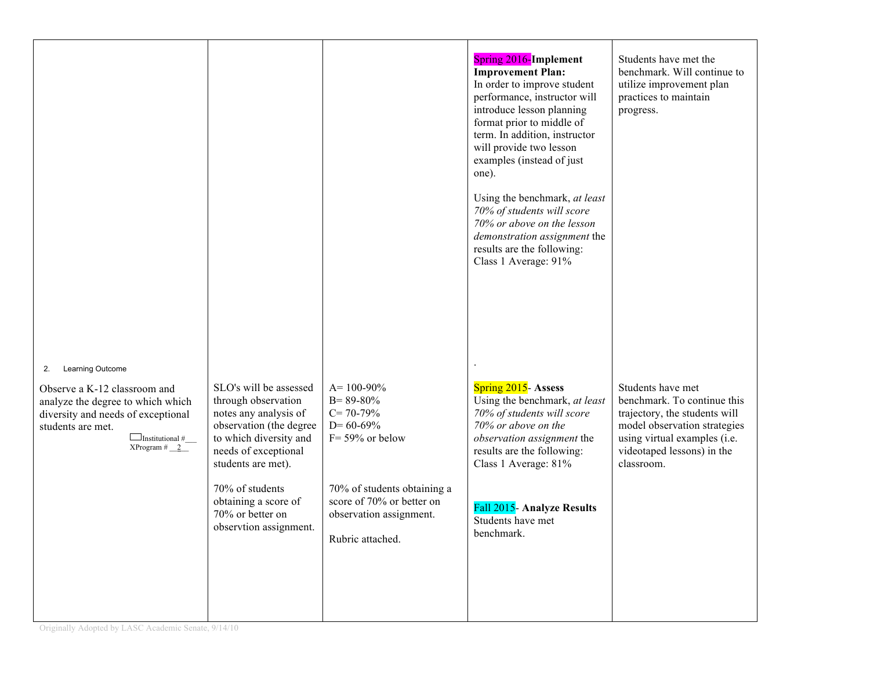|                                                                                                                                                                                                         |                                                                                                                                                                                                                                                                    |                                                                                                                                                                                                          | <b>Spring 2016-Implement</b><br><b>Improvement Plan:</b><br>In order to improve student<br>performance, instructor will<br>introduce lesson planning<br>format prior to middle of<br>term. In addition, instructor<br>will provide two lesson<br>examples (instead of just<br>one).<br>Using the benchmark, at least<br>70% of students will score<br>70% or above on the lesson<br>demonstration assignment the<br>results are the following:<br>Class 1 Average: 91% | Students have met the<br>benchmark. Will continue to<br>utilize improvement plan<br>practices to maintain<br>progress.                                                                        |
|---------------------------------------------------------------------------------------------------------------------------------------------------------------------------------------------------------|--------------------------------------------------------------------------------------------------------------------------------------------------------------------------------------------------------------------------------------------------------------------|----------------------------------------------------------------------------------------------------------------------------------------------------------------------------------------------------------|------------------------------------------------------------------------------------------------------------------------------------------------------------------------------------------------------------------------------------------------------------------------------------------------------------------------------------------------------------------------------------------------------------------------------------------------------------------------|-----------------------------------------------------------------------------------------------------------------------------------------------------------------------------------------------|
| Learning Outcome<br>2.<br>Observe a K-12 classroom and<br>analyze the degree to which which<br>diversity and needs of exceptional<br>students are met.<br>$\Box$ Institutional #<br>XProgram # <u>2</u> | SLO's will be assessed<br>through observation<br>notes any analysis of<br>observation (the degree<br>to which diversity and<br>needs of exceptional<br>students are met).<br>70% of students<br>obtaining a score of<br>70% or better on<br>observtion assignment. | $A = 100 - 90\%$<br>$B = 89 - 80\%$<br>$C = 70-79%$<br>$D = 60 - 69\%$<br>$F = 59\%$ or below<br>70% of students obtaining a<br>score of 70% or better on<br>observation assignment.<br>Rubric attached. | Spring 2015- Assess<br>Using the benchmark, at least<br>70% of students will score<br>70% or above on the<br>observation assignment the<br>results are the following:<br>Class 1 Average: 81%<br>Fall 2015- Analyze Results<br>Students have met<br>benchmark.                                                                                                                                                                                                         | Students have met<br>benchmark. To continue this<br>trajectory, the students will<br>model observation strategies<br>using virtual examples (i.e.<br>videotaped lessons) in the<br>classroom. |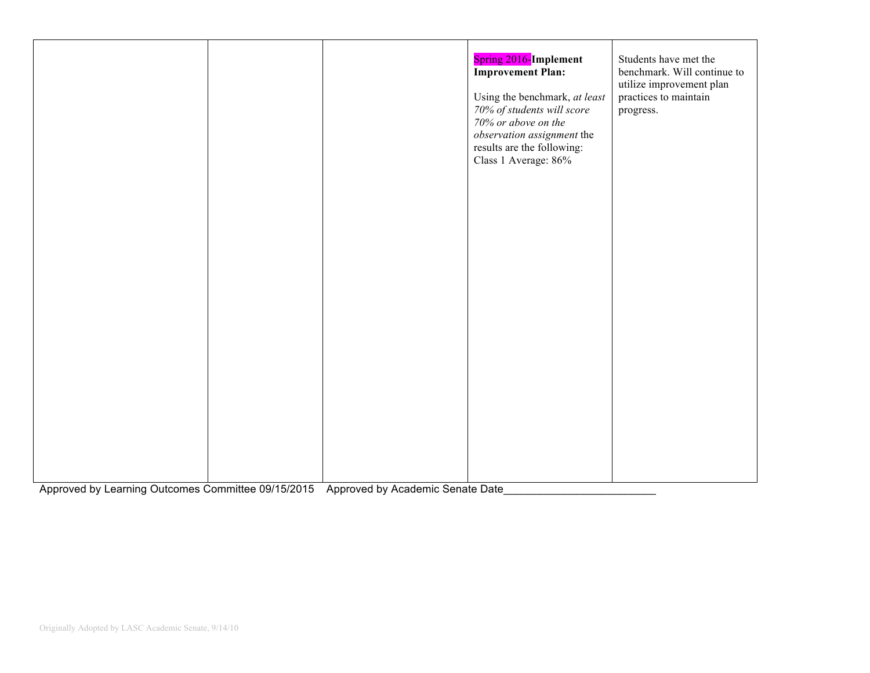|  | <b>Spring 2016-Implement</b><br><b>Improvement Plan:</b><br>Using the benchmark, at least<br>70% of students will score<br>70% or above on the<br>observation assignment the<br>results are the following:<br>Class 1 Average: 86% | Students have met the<br>benchmark. Will continue to<br>utilize improvement plan<br>practices to maintain<br>progress. |
|--|------------------------------------------------------------------------------------------------------------------------------------------------------------------------------------------------------------------------------------|------------------------------------------------------------------------------------------------------------------------|
|  |                                                                                                                                                                                                                                    |                                                                                                                        |

Approved by Learning Outcomes Committee 09/15/2015 Approved by Academic Senate Date\_\_\_\_\_\_\_\_\_\_\_\_\_\_\_\_\_\_\_\_\_\_\_\_\_\_\_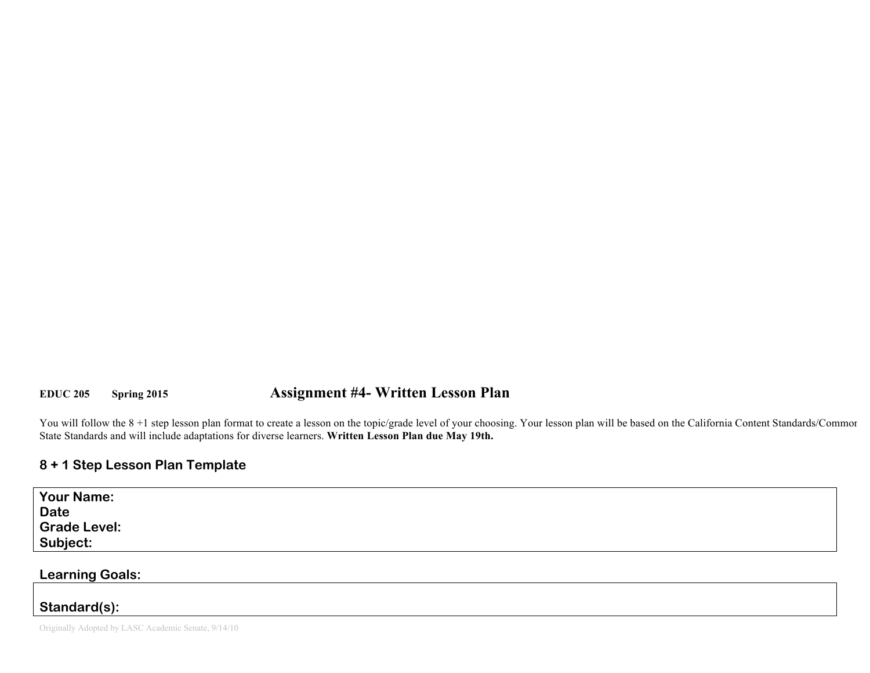# **EDUC 205 Spring 2015 Assignment #4- Written Lesson Plan**

You will follow the 8 +1 step lesson plan format to create a lesson on the topic/grade level of your choosing. Your lesson plan will be based on the California Content Standards/Commor State Standards and will include adaptations for diverse learners. **Written Lesson Plan due May 19th.**

# **8 + 1 Step Lesson Plan Template**

| <b>Your Name:</b><br><b>Date</b> |  |
|----------------------------------|--|
| <b>Grade Level:</b>              |  |
| Subject:                         |  |

**Learning Goals:** 

## **Standard(s):**

Originally Adopted by LASC Academic Senate, 9/14/10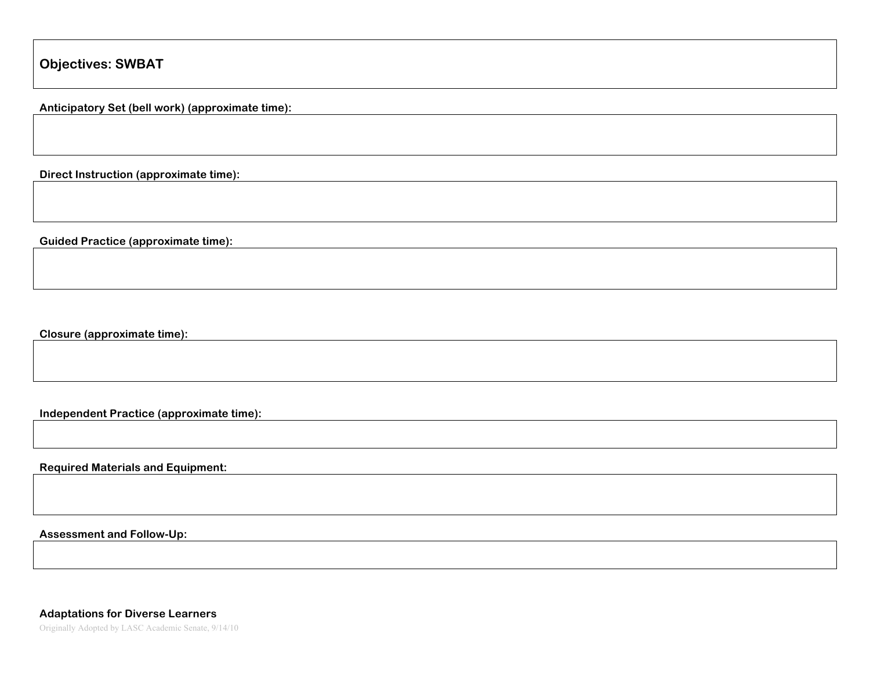**Anticipatory Set (bell work) (approximate time):**

**Direct Instruction (approximate time):** 

**Guided Practice (approximate time):** 

**Closure (approximate time):** 

**Independent Practice (approximate time):** 

**Required Materials and Equipment:** 

**Assessment and Follow-Up:** 

Originally Adopted by LASC Academic Senate, 9/14/10 **Adaptations for Diverse Learners**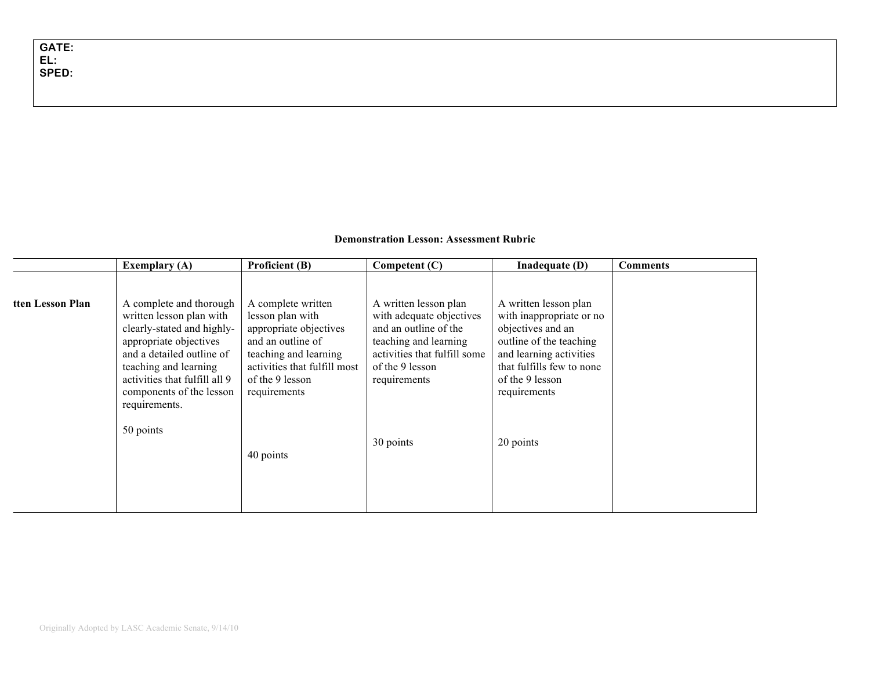#### **Demonstration Lesson: Assessment Rubric**

|                  | <b>Exemplary (A)</b>                                                                                                                                                                                                                            | Proficient (B)                                                                                                                                                                    | Competent (C)                                                                                                                                                          | Inadequate (D)                                                                                                                                                                               | <b>Comments</b> |
|------------------|-------------------------------------------------------------------------------------------------------------------------------------------------------------------------------------------------------------------------------------------------|-----------------------------------------------------------------------------------------------------------------------------------------------------------------------------------|------------------------------------------------------------------------------------------------------------------------------------------------------------------------|----------------------------------------------------------------------------------------------------------------------------------------------------------------------------------------------|-----------------|
| tten Lesson Plan | A complete and thorough<br>written lesson plan with<br>clearly-stated and highly-<br>appropriate objectives<br>and a detailed outline of<br>teaching and learning<br>activities that fulfill all 9<br>components of the lesson<br>requirements. | A complete written<br>lesson plan with<br>appropriate objectives<br>and an outline of<br>teaching and learning<br>activities that fulfill most<br>of the 9 lesson<br>requirements | A written lesson plan<br>with adequate objectives<br>and an outline of the<br>teaching and learning<br>activities that fulfill some<br>of the 9 lesson<br>requirements | A written lesson plan<br>with inappropriate or no<br>objectives and an<br>outline of the teaching<br>and learning activities<br>that fulfills few to none<br>of the 9 lesson<br>requirements |                 |
|                  | 50 points                                                                                                                                                                                                                                       | 40 points                                                                                                                                                                         | 30 points                                                                                                                                                              | 20 points                                                                                                                                                                                    |                 |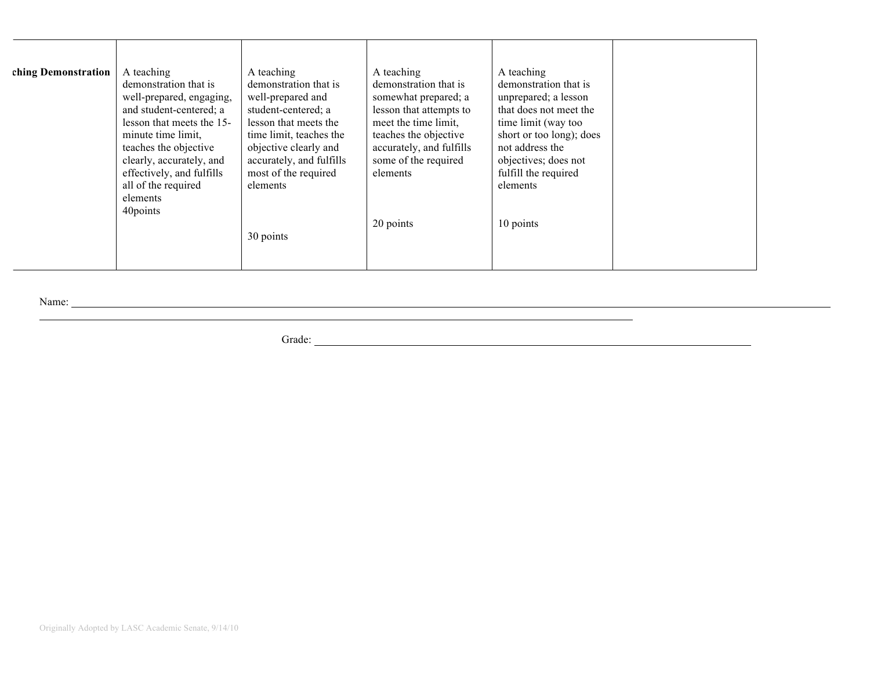| ching Demonstration | A teaching<br>demonstration that is<br>well-prepared, engaging,<br>and student-centered; a<br>lesson that meets the 15-<br>minute time limit.<br>teaches the objective<br>clearly, accurately, and<br>effectively, and fulfills | A teaching<br>demonstration that is<br>well-prepared and<br>student-centered; a<br>lesson that meets the<br>time limit, teaches the<br>objective clearly and<br>accurately, and fulfills<br>most of the required | A teaching<br>demonstration that is<br>somewhat prepared; a<br>lesson that attempts to<br>meet the time limit,<br>teaches the objective<br>accurately, and fulfills<br>some of the required<br>elements | A teaching<br>demonstration that is<br>unprepared; a lesson<br>that does not meet the<br>time limit (way too<br>short or too long); does<br>not address the<br>objectives; does not<br>fulfill the required |  |
|---------------------|---------------------------------------------------------------------------------------------------------------------------------------------------------------------------------------------------------------------------------|------------------------------------------------------------------------------------------------------------------------------------------------------------------------------------------------------------------|---------------------------------------------------------------------------------------------------------------------------------------------------------------------------------------------------------|-------------------------------------------------------------------------------------------------------------------------------------------------------------------------------------------------------------|--|
|                     | all of the required<br>elements<br>40points                                                                                                                                                                                     | elements<br>30 points                                                                                                                                                                                            | 20 points                                                                                                                                                                                               | elements<br>10 points                                                                                                                                                                                       |  |

<u> 1989 - Johann Stoff, amerikansk politiker (d. 1989)</u>

**Contract Contract Contract** 

Name: Name: Name: Name: Name: Name: Name: Name: Name: Name: Name: Name: Name: Name: Name: Name: Name: Name: Name: Name: Name: Name: Name: Name: Name: Name: Name: Name: Name: Name: Name: Name: Name: Name: Name: Name: Name:

Grade: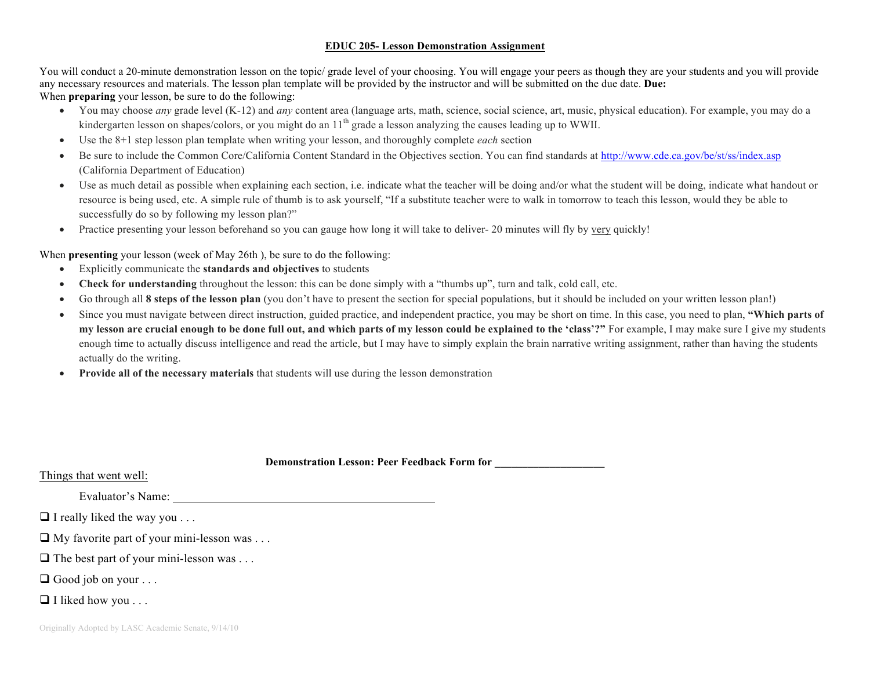#### **EDUC 205- Lesson Demonstration Assignment**

You will conduct a 20-minute demonstration lesson on the topic/ grade level of your choosing. You will engage your peers as though they are your students and you will provide any necessary resources and materials. The lesson plan template will be provided by the instructor and will be submitted on the due date. **Due:** When **preparing** your lesson, be sure to do the following:

- You may choose *any* grade level (K-12) and *any* content area (language arts, math, science, social science, art, music, physical education). For example, you may do a kindergarten lesson on shapes/colors, or you might do an  $11<sup>th</sup>$  grade a lesson analyzing the causes leading up to WWII.
- Use the 8+1 step lesson plan template when writing your lesson, and thoroughly complete *each* section
- Be sure to include the Common Core/California Content Standard in the Objectives section. You can find standards at http://www.cde.ca.gov/be/st/ss/index.asp (California Department of Education)
- Use as much detail as possible when explaining each section, i.e. indicate what the teacher will be doing and/or what the student will be doing, indicate what handout or resource is being used, etc. A simple rule of thumb is to ask yourself, "If a substitute teacher were to walk in tomorrow to teach this lesson, would they be able to successfully do so by following my lesson plan?"
- Practice presenting your lesson beforehand so you can gauge how long it will take to deliver- 20 minutes will fly by very quickly!

When **presenting** your lesson (week of May 26th), be sure to do the following:

- Explicitly communicate the **standards and objectives** to students
- **Check for understanding** throughout the lesson: this can be done simply with a "thumbs up", turn and talk, cold call, etc.
- Go through all **8 steps of the lesson plan** (you don't have to present the section for special populations, but it should be included on your written lesson plan!)
- Since you must navigate between direct instruction, guided practice, and independent practice, you may be short on time. In this case, you need to plan, **"Which parts of my lesson are crucial enough to be done full out, and which parts of my lesson could be explained to the 'class'?"** For example, I may make sure I give my students enough time to actually discuss intelligence and read the article, but I may have to simply explain the brain narrative writing assignment, rather than having the students actually do the writing.
- **Provide all of the necessary materials** that students will use during the lesson demonstration

| <b>Demonstration Lesson: Peer Feedback Form for</b> |  |
|-----------------------------------------------------|--|
|                                                     |  |

#### Things that went well:

Evaluator's Name:

 $\Box$  I really liked the way you . . .

 $\Box$  My favorite part of your mini-lesson was . . .

- $\Box$  The best part of your mini-lesson was . . .
- $\Box$  Good job on your . . .
- $\Box$  I liked how you . . .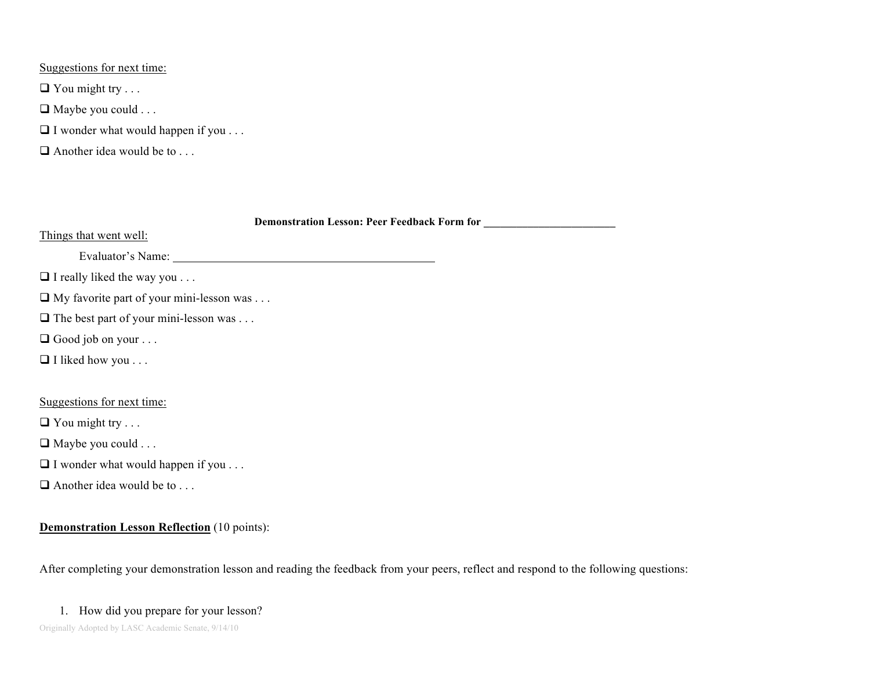Suggestions for next time:

 $\Box$  You might try . . .

- $\Box$  Maybe you could . . .
- $\Box$  I wonder what would happen if you . . .
- $\Box$  Another idea would be to . . .

| <b>Demonstration Lesson: Peer Feedback Form for</b> |  |
|-----------------------------------------------------|--|
| Things that went well:                              |  |
| Evaluator's Name:                                   |  |
| $\Box$ I really liked the way you                   |  |
| $\Box$ My favorite part of your mini-lesson was     |  |
| $\Box$ The best part of your mini-lesson was        |  |
| $\Box$ Good job on your                             |  |
| $\Box$ I liked how you                              |  |
|                                                     |  |
| Suggestions for next time:                          |  |
| $\Box$ You might try                                |  |
| $\Box$ Maybe you could                              |  |
| $\Box$ I wonder what would happen if you $\dots$    |  |
| $\Box$ Another idea would be to                     |  |
|                                                     |  |

## **Demonstration Lesson Reflection** (10 points):

After completing your demonstration lesson and reading the feedback from your peers, reflect and respond to the following questions:

## 1. How did you prepare for your lesson?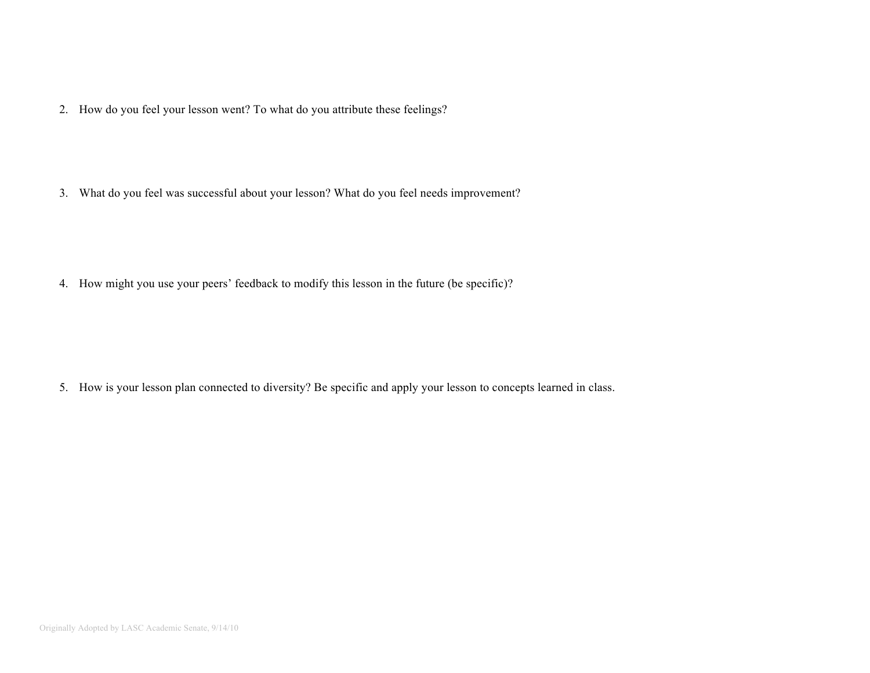2. How do you feel your lesson went? To what do you attribute these feelings?

3. What do you feel was successful about your lesson? What do you feel needs improvement?

4. How might you use your peers' feedback to modify this lesson in the future (be specific)?

5. How is your lesson plan connected to diversity? Be specific and apply your lesson to concepts learned in class.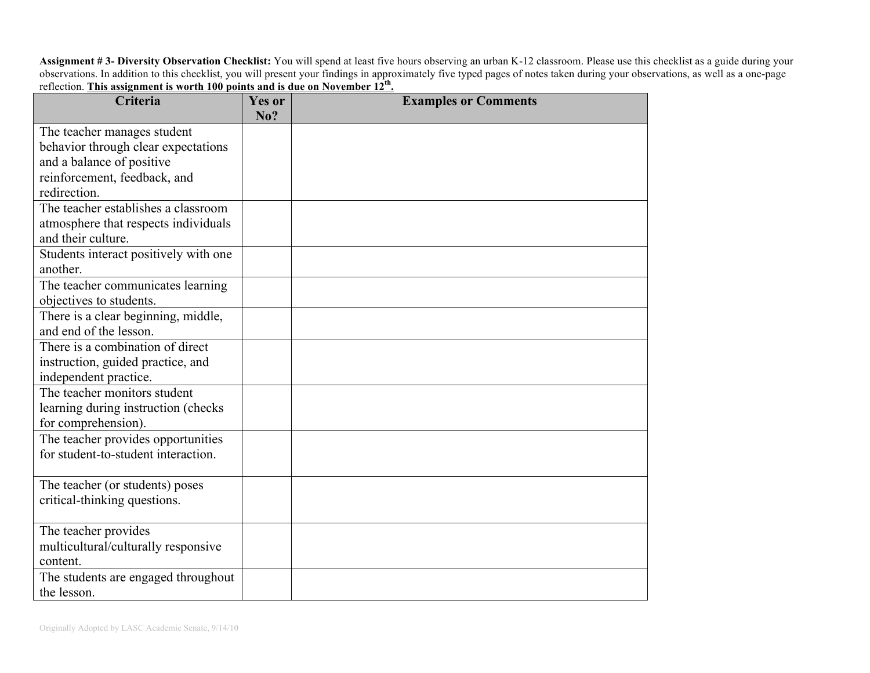**Assignment # 3- Diversity Observation Checklist:** You will spend at least five hours observing an urban K-12 classroom. Please use this checklist as a guide during your observations. In addition to this checklist, you will present your findings in approximately five typed pages of notes taken during your observations, as well as a one-page reflection. **This assignment is worth 100 points and is due on November 12th.**

| Criteria                              | Yes or<br>No? | <b>Examples or Comments</b> |
|---------------------------------------|---------------|-----------------------------|
| The teacher manages student           |               |                             |
| behavior through clear expectations   |               |                             |
| and a balance of positive             |               |                             |
| reinforcement, feedback, and          |               |                             |
| redirection.                          |               |                             |
| The teacher establishes a classroom   |               |                             |
| atmosphere that respects individuals  |               |                             |
| and their culture.                    |               |                             |
| Students interact positively with one |               |                             |
| another.                              |               |                             |
| The teacher communicates learning     |               |                             |
| objectives to students.               |               |                             |
| There is a clear beginning, middle,   |               |                             |
| and end of the lesson.                |               |                             |
| There is a combination of direct      |               |                             |
| instruction, guided practice, and     |               |                             |
| independent practice.                 |               |                             |
| The teacher monitors student          |               |                             |
| learning during instruction (checks   |               |                             |
| for comprehension).                   |               |                             |
| The teacher provides opportunities    |               |                             |
| for student-to-student interaction.   |               |                             |
| The teacher (or students) poses       |               |                             |
| critical-thinking questions.          |               |                             |
|                                       |               |                             |
| The teacher provides                  |               |                             |
| multicultural/culturally responsive   |               |                             |
| content.                              |               |                             |
| The students are engaged throughout   |               |                             |
| the lesson.                           |               |                             |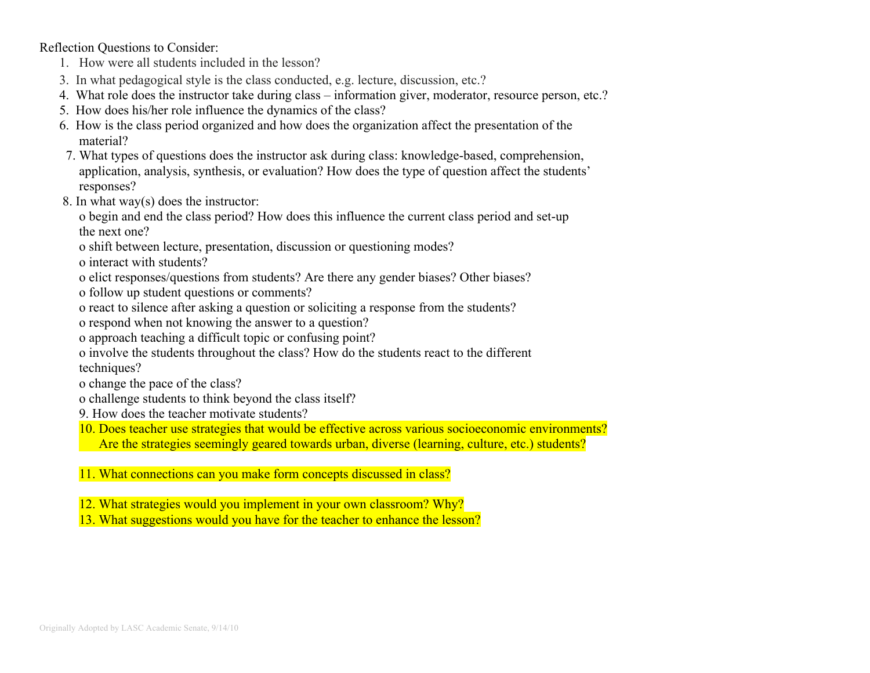Reflection Questions to Consider:

- 1. How were all students included in the lesson?
- 3. In what pedagogical style is the class conducted, e.g. lecture, discussion, etc.?
- 4. What role does the instructor take during class information giver, moderator, resource person, etc.?
- 5. How does his/her role influence the dynamics of the class?
- 6. How is the class period organized and how does the organization affect the presentation of the material?
- 7. What types of questions does the instructor ask during class: knowledge-based, comprehension, application, analysis, synthesis, or evaluation? How does the type of question affect the students' responses?
- 8. In what way(s) does the instructor:
	- o begin and end the class period? How does this influence the current class period and set-up the next one?
	- o shift between lecture, presentation, discussion or questioning modes?
	- o interact with students?
	- o elict responses/questions from students? Are there any gender biases? Other biases?
	- o follow up student questions or comments?
	- o react to silence after asking a question or soliciting a response from the students?
	- o respond when not knowing the answer to a question?
	- o approach teaching a difficult topic or confusing point?
	- o involve the students throughout the class? How do the students react to the different techniques?
	- o change the pace of the class?
	- o challenge students to think beyond the class itself?
	- 9. How does the teacher motivate students?
	- 10. Does teacher use strategies that would be effective across various socioeconomic environments? Are the strategies seemingly geared towards urban, diverse (learning, culture, etc.) students?
	- 11. What connections can you make form concepts discussed in class?
	- 12. What strategies would you implement in your own classroom? Why?
	- 13. What suggestions would you have for the teacher to enhance the lesson?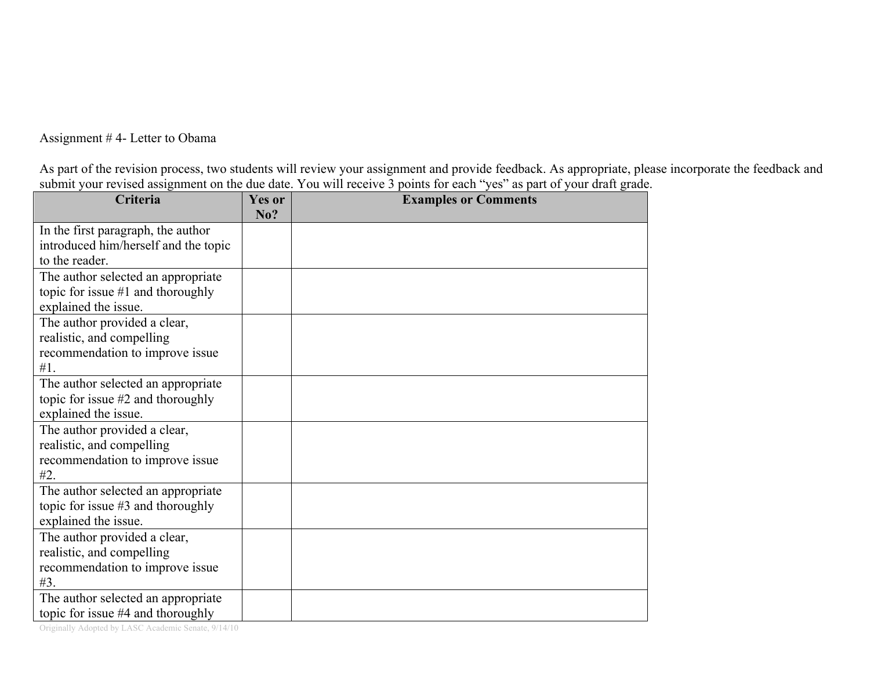Assignment # 4- Letter to Obama

As part of the revision process, two students will review your assignment and provide feedback. As appropriate, please incorporate the feedback and submit your revised assignment on the due date. You will receive 3 points for each "yes" as part of your draft grade.

| Criteria                                                  | <b>Yes or</b><br>No? | <b>Examples or Comments</b> |
|-----------------------------------------------------------|----------------------|-----------------------------|
| In the first paragraph, the author                        |                      |                             |
| introduced him/herself and the topic                      |                      |                             |
| to the reader.                                            |                      |                             |
| The author selected an appropriate                        |                      |                             |
| topic for issue $#1$ and thoroughly                       |                      |                             |
| explained the issue.                                      |                      |                             |
| The author provided a clear,                              |                      |                             |
| realistic, and compelling                                 |                      |                             |
| recommendation to improve issue                           |                      |                             |
| #1.                                                       |                      |                             |
| The author selected an appropriate                        |                      |                             |
| topic for issue $#2$ and thoroughly                       |                      |                             |
| explained the issue.                                      |                      |                             |
| The author provided a clear,<br>realistic, and compelling |                      |                             |
| recommendation to improve issue                           |                      |                             |
| #2.                                                       |                      |                             |
| The author selected an appropriate                        |                      |                             |
| topic for issue #3 and thoroughly                         |                      |                             |
| explained the issue.                                      |                      |                             |
| The author provided a clear,                              |                      |                             |
| realistic, and compelling                                 |                      |                             |
| recommendation to improve issue                           |                      |                             |
| #3.                                                       |                      |                             |
| The author selected an appropriate                        |                      |                             |
| topic for issue #4 and thoroughly                         |                      |                             |

Originally Adopted by LASC Academic Senate, 9/14/10